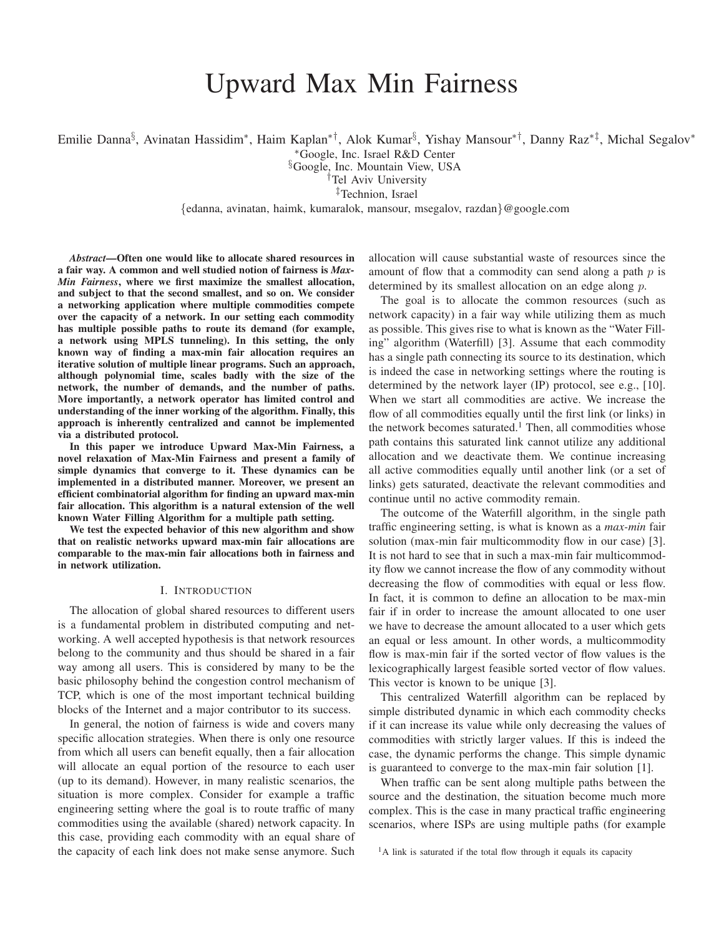# Upward Max Min Fairness

Emilie Danna§ , Avinatan Hassidim<sup>∗</sup> , Haim Kaplan∗†, Alok Kumar§ , Yishay Mansour∗†, Danny Raz∗‡, Michal Segalov<sup>∗</sup>

<sup>∗</sup>Google, Inc. Israel R&D Center

§Google, Inc. Mountain View, USA

†Tel Aviv University

‡Technion, Israel

{edanna, avinatan, haimk, kumaralok, mansour, msegalov, razdan}@google.com

*Abstract***—Often one would like to allocate shared resources in a fair way. A common and well studied notion of fairness is** *Max-Min Fairness***, where we first maximize the smallest allocation, and subject to that the second smallest, and so on. We consider a networking application where multiple commodities compete over the capacity of a network. In our setting each commodity has multiple possible paths to route its demand (for example, a network using MPLS tunneling). In this setting, the only known way of finding a max-min fair allocation requires an iterative solution of multiple linear programs. Such an approach, although polynomial time, scales badly with the size of the network, the number of demands, and the number of paths. More importantly, a network operator has limited control and understanding of the inner working of the algorithm. Finally, this approach is inherently centralized and cannot be implemented via a distributed protocol.**

**In this paper we introduce Upward Max-Min Fairness, a novel relaxation of Max-Min Fairness and present a family of simple dynamics that converge to it. These dynamics can be implemented in a distributed manner. Moreover, we present an efficient combinatorial algorithm for finding an upward max-min fair allocation. This algorithm is a natural extension of the well known Water Filling Algorithm for a multiple path setting.**

**We test the expected behavior of this new algorithm and show that on realistic networks upward max-min fair allocations are comparable to the max-min fair allocations both in fairness and in network utilization.**

## I. INTRODUCTION

The allocation of global shared resources to different users is a fundamental problem in distributed computing and networking. A well accepted hypothesis is that network resources belong to the community and thus should be shared in a fair way among all users. This is considered by many to be the basic philosophy behind the congestion control mechanism of TCP, which is one of the most important technical building blocks of the Internet and a major contributor to its success.

In general, the notion of fairness is wide and covers many specific allocation strategies. When there is only one resource from which all users can benefit equally, then a fair allocation will allocate an equal portion of the resource to each user (up to its demand). However, in many realistic scenarios, the situation is more complex. Consider for example a traffic engineering setting where the goal is to route traffic of many commodities using the available (shared) network capacity. In this case, providing each commodity with an equal share of the capacity of each link does not make sense anymore. Such

allocation will cause substantial waste of resources since the amount of flow that a commodity can send along a path  $p$  is determined by its smallest allocation on an edge along p.

The goal is to allocate the common resources (such as network capacity) in a fair way while utilizing them as much as possible. This gives rise to what is known as the "Water Filling" algorithm (Waterfill) [3]. Assume that each commodity has a single path connecting its source to its destination, which is indeed the case in networking settings where the routing is determined by the network layer (IP) protocol, see e.g., [10]. When we start all commodities are active. We increase the flow of all commodities equally until the first link (or links) in the network becomes saturated.<sup>1</sup> Then, all commodities whose path contains this saturated link cannot utilize any additional allocation and we deactivate them. We continue increasing all active commodities equally until another link (or a set of links) gets saturated, deactivate the relevant commodities and continue until no active commodity remain.

The outcome of the Waterfill algorithm, in the single path traffic engineering setting, is what is known as a *max-min* fair solution (max-min fair multicommodity flow in our case) [3]. It is not hard to see that in such a max-min fair multicommodity flow we cannot increase the flow of any commodity without decreasing the flow of commodities with equal or less flow. In fact, it is common to define an allocation to be max-min fair if in order to increase the amount allocated to one user we have to decrease the amount allocated to a user which gets an equal or less amount. In other words, a multicommodity flow is max-min fair if the sorted vector of flow values is the lexicographically largest feasible sorted vector of flow values. This vector is known to be unique [3].

This centralized Waterfill algorithm can be replaced by simple distributed dynamic in which each commodity checks if it can increase its value while only decreasing the values of commodities with strictly larger values. If this is indeed the case, the dynamic performs the change. This simple dynamic is guaranteed to converge to the max-min fair solution [1].

When traffic can be sent along multiple paths between the source and the destination, the situation become much more complex. This is the case in many practical traffic engineering scenarios, where ISPs are using multiple paths (for example

<sup>&</sup>lt;sup>1</sup>A link is saturated if the total flow through it equals its capacity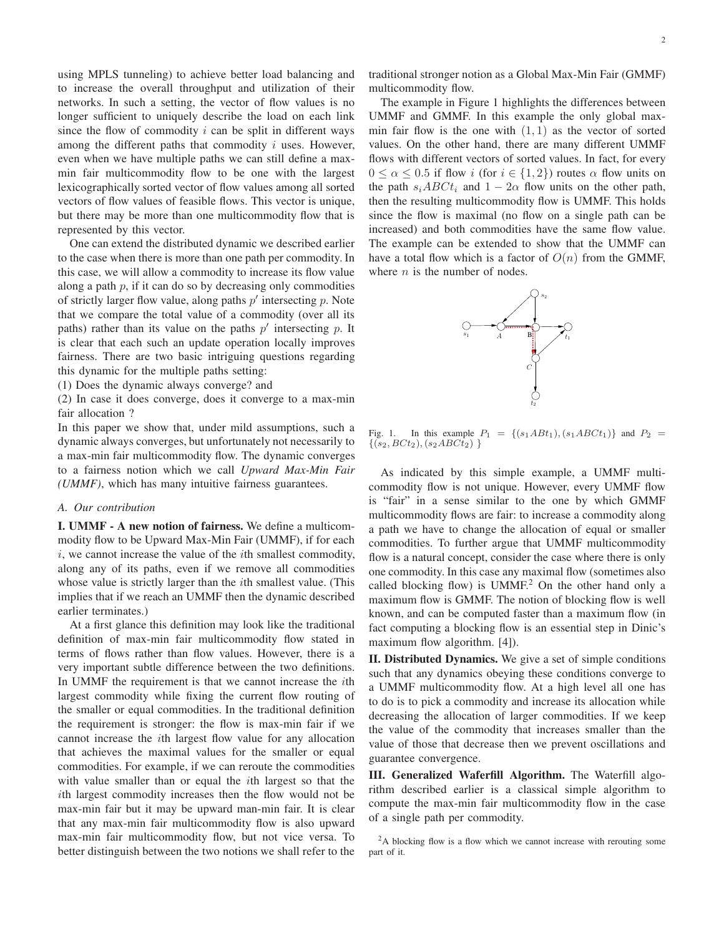using MPLS tunneling) to achieve better load balancing and to increase the overall throughput and utilization of their networks. In such a setting, the vector of flow values is no longer sufficient to uniquely describe the load on each link since the flow of commodity  $i$  can be split in different ways among the different paths that commodity  $i$  uses. However, even when we have multiple paths we can still define a maxmin fair multicommodity flow to be one with the largest lexicographically sorted vector of flow values among all sorted vectors of flow values of feasible flows. This vector is unique, but there may be more than one multicommodity flow that is represented by this vector.

One can extend the distributed dynamic we described earlier to the case when there is more than one path per commodity. In this case, we will allow a commodity to increase its flow value along a path  $p$ , if it can do so by decreasing only commodities of strictly larger flow value, along paths  $p'$  intersecting  $p$ . Note that we compare the total value of a commodity (over all its paths) rather than its value on the paths  $p'$  intersecting p. It is clear that each such an update operation locally improves fairness. There are two basic intriguing questions regarding this dynamic for the multiple paths setting:

(1) Does the dynamic always converge? and

(2) In case it does converge, does it converge to a max-min fair allocation ?

In this paper we show that, under mild assumptions, such a dynamic always converges, but unfortunately not necessarily to a max-min fair multicommodity flow. The dynamic converges to a fairness notion which we call *Upward Max-Min Fair (UMMF)*, which has many intuitive fairness guarantees.

## *A. Our contribution*

**I. UMMF - A new notion of fairness.** We define a multicommodity flow to be Upward Max-Min Fair (UMMF), if for each  $i$ , we cannot increase the value of the *i*th smallest commodity, along any of its paths, even if we remove all commodities whose value is strictly larger than the *i*th smallest value. (This implies that if we reach an UMMF then the dynamic described earlier terminates.)

At a first glance this definition may look like the traditional definition of max-min fair multicommodity flow stated in terms of flows rather than flow values. However, there is a very important subtle difference between the two definitions. In UMMF the requirement is that we cannot increase the ith largest commodity while fixing the current flow routing of the smaller or equal commodities. In the traditional definition the requirement is stronger: the flow is max-min fair if we cannot increase the ith largest flow value for any allocation that achieves the maximal values for the smaller or equal commodities. For example, if we can reroute the commodities with value smaller than or equal the ith largest so that the ith largest commodity increases then the flow would not be max-min fair but it may be upward man-min fair. It is clear that any max-min fair multicommodity flow is also upward max-min fair multicommodity flow, but not vice versa. To better distinguish between the two notions we shall refer to the

traditional stronger notion as a Global Max-Min Fair (GMMF) multicommodity flow.

The example in Figure 1 highlights the differences between UMMF and GMMF. In this example the only global maxmin fair flow is the one with  $(1, 1)$  as the vector of sorted values. On the other hand, there are many different UMMF flows with different vectors of sorted values. In fact, for every  $0 \le \alpha \le 0.5$  if flow i (for  $i \in \{1,2\}$ ) routes  $\alpha$  flow units on the path  $s_iABC_t$  and  $1 - 2\alpha$  flow units on the other path, then the resulting multicommodity flow is UMMF. This holds since the flow is maximal (no flow on a single path can be increased) and both commodities have the same flow value. The example can be extended to show that the UMMF can have a total flow which is a factor of  $O(n)$  from the GMMF, where  $n$  is the number of nodes.



Fig. 1. In this example  $P_1 = \{(s_1ABt_1), (s_1ABCt_1)\}\$  and  $P_2 =$  $\{(s_2, BCt_2), (s_2ABCt_2)\}\$ 

As indicated by this simple example, a UMMF multicommodity flow is not unique. However, every UMMF flow is "fair" in a sense similar to the one by which GMMF multicommodity flows are fair: to increase a commodity along a path we have to change the allocation of equal or smaller commodities. To further argue that UMMF multicommodity flow is a natural concept, consider the case where there is only one commodity. In this case any maximal flow (sometimes also called blocking flow) is UMMF.<sup>2</sup> On the other hand only a maximum flow is GMMF. The notion of blocking flow is well known, and can be computed faster than a maximum flow (in fact computing a blocking flow is an essential step in Dinic's maximum flow algorithm. [4]).

**II. Distributed Dynamics.** We give a set of simple conditions such that any dynamics obeying these conditions converge to a UMMF multicommodity flow. At a high level all one has to do is to pick a commodity and increase its allocation while decreasing the allocation of larger commodities. If we keep the value of the commodity that increases smaller than the value of those that decrease then we prevent oscillations and guarantee convergence.

**III. Generalized Waferfill Algorithm.** The Waterfill algorithm described earlier is a classical simple algorithm to compute the max-min fair multicommodity flow in the case of a single path per commodity.

<sup>2</sup>A blocking flow is a flow which we cannot increase with rerouting some part of it.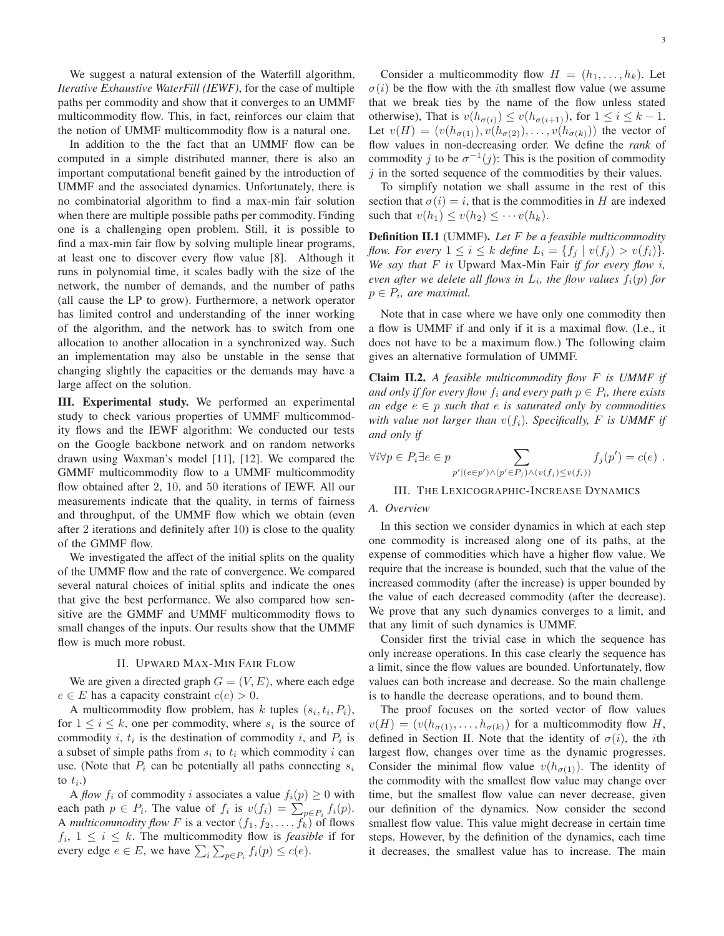We suggest a natural extension of the Waterfill algorithm, *Iterative Exhaustive WaterFill (IEWF)*, for the case of multiple paths per commodity and show that it converges to an UMMF multicommodity flow. This, in fact, reinforces our claim that the notion of UMMF multicommodity flow is a natural one.

In addition to the the fact that an UMMF flow can be computed in a simple distributed manner, there is also an important computational benefit gained by the introduction of UMMF and the associated dynamics. Unfortunately, there is no combinatorial algorithm to find a max-min fair solution when there are multiple possible paths per commodity. Finding one is a challenging open problem. Still, it is possible to find a max-min fair flow by solving multiple linear programs, at least one to discover every flow value [8]. Although it runs in polynomial time, it scales badly with the size of the network, the number of demands, and the number of paths (all cause the LP to grow). Furthermore, a network operator has limited control and understanding of the inner working of the algorithm, and the network has to switch from one allocation to another allocation in a synchronized way. Such an implementation may also be unstable in the sense that changing slightly the capacities or the demands may have a large affect on the solution.

**III. Experimental study.** We performed an experimental study to check various properties of UMMF multicommodity flows and the IEWF algorithm: We conducted our tests on the Google backbone network and on random networks drawn using Waxman's model [11], [12]. We compared the GMMF multicommodity flow to a UMMF multicommodity flow obtained after 2, 10, and 50 iterations of IEWF. All our measurements indicate that the quality, in terms of fairness and throughput, of the UMMF flow which we obtain (even after 2 iterations and definitely after 10) is close to the quality of the GMMF flow.

We investigated the affect of the initial splits on the quality of the UMMF flow and the rate of convergence. We compared several natural choices of initial splits and indicate the ones that give the best performance. We also compared how sensitive are the GMMF and UMMF multicommodity flows to small changes of the inputs. Our results show that the UMMF flow is much more robust.

#### II. UPWARD MAX-MIN FAIR FLOW

We are given a directed graph  $G = (V, E)$ , where each edge  $e \in E$  has a capacity constraint  $c(e) > 0$ .

A multicommodity flow problem, has k tuples  $(s_i, t_i, P_i)$ , for  $1 \leq i \leq k$ , one per commodity, where  $s_i$  is the source of commodity i,  $t_i$  is the destination of commodity i, and  $P_i$  is a subset of simple paths from  $s_i$  to  $t_i$  which commodity i can use. (Note that  $P_i$  can be potentially all paths connecting  $s_i$ to  $t_i$ .)

A *flow*  $f_i$  of commodity i associates a value  $f_i(p) \geq 0$  with each path  $p \in P_i$ . The value of  $f_i$  is  $v(f_i) = \sum_{p \in P_i} f_i(p)$ . A *multicommodity flow* F is a vector  $(f_1, f_2, \ldots, f_k)$  of flows  $f_i, 1 \leq i \leq k$ . The multicommodity flow is *feasible* if for every edge  $e \in E$ , we have  $\sum_i \sum_{p \in P_i} f_i(p) \le c(e)$ .

Consider a multicommodity flow  $H = (h_1, \ldots, h_k)$ . Let  $\sigma(i)$  be the flow with the *i*th smallest flow value (we assume that we break ties by the name of the flow unless stated otherwise), That is  $v(h_{\sigma(i)}) \le v(h_{\sigma(i+1)})$ , for  $1 \le i \le k-1$ . Let  $v(H) = (v(h_{\sigma(1)}), v(h_{\sigma(2)}), \ldots, v(h_{\sigma(k)}))$  the vector of flow values in non-decreasing order. We define the *rank* of commodity j to be  $\sigma^{-1}(j)$ : This is the position of commodity  $j$  in the sorted sequence of the commodities by their values.

To simplify notation we shall assume in the rest of this section that  $\sigma(i) = i$ , that is the commodities in H are indexed such that  $v(h_1) \le v(h_2) \le \cdots v(h_k)$ .

**Definition II.1** (UMMF)**.** *Let* F *be a feasible multicommodity flow. For every*  $1 \leq i \leq k$  *define*  $L_i = \{f_j \mid v(f_j) > v(f_i)\}.$ *We say that* F *is* Upward Max-Min Fair *if for every flow* i*, even after we delete all flows in*  $L_i$ *, the flow values*  $f_i(p)$  *for*  $p \in P_i$ , are maximal.

Note that in case where we have only one commodity then a flow is UMMF if and only if it is a maximal flow. (I.e., it does not have to be a maximum flow.) The following claim gives an alternative formulation of UMMF.

**Claim II.2.** *A feasible multicommodity flow* F *is UMMF if* and only if for every flow  $f_i$  and every path  $p \in P_i$ , there exists *an edge*  $e \in p$  *such that*  $e$  *is saturated only by commodities with value not larger than*  $v(f_i)$ *. Specifically, F is UMMF if and only if*

$$
\forall i \forall p \in P_i \exists e \in p \sum_{p' | (e \in p') \land (p' \in P_j) \land (v(f_j) \leq v(f_i))} f_j(p') = c(e) .
$$

#### III. THE LEXICOGRAPHIC-INCREASE DYNAMICS

## *A. Overview*

In this section we consider dynamics in which at each step one commodity is increased along one of its paths, at the expense of commodities which have a higher flow value. We require that the increase is bounded, such that the value of the increased commodity (after the increase) is upper bounded by the value of each decreased commodity (after the decrease). We prove that any such dynamics converges to a limit, and that any limit of such dynamics is UMMF.

Consider first the trivial case in which the sequence has only increase operations. In this case clearly the sequence has a limit, since the flow values are bounded. Unfortunately, flow values can both increase and decrease. So the main challenge is to handle the decrease operations, and to bound them.

The proof focuses on the sorted vector of flow values  $v(H) = (v(h_{\sigma(1)}, \ldots, h_{\sigma(k)})$  for a multicommodity flow H, defined in Section II. Note that the identity of  $\sigma(i)$ , the *i*th largest flow, changes over time as the dynamic progresses. Consider the minimal flow value  $v(h_{\sigma(1)})$ . The identity of the commodity with the smallest flow value may change over time, but the smallest flow value can never decrease, given our definition of the dynamics. Now consider the second smallest flow value. This value might decrease in certain time steps. However, by the definition of the dynamics, each time it decreases, the smallest value has to increase. The main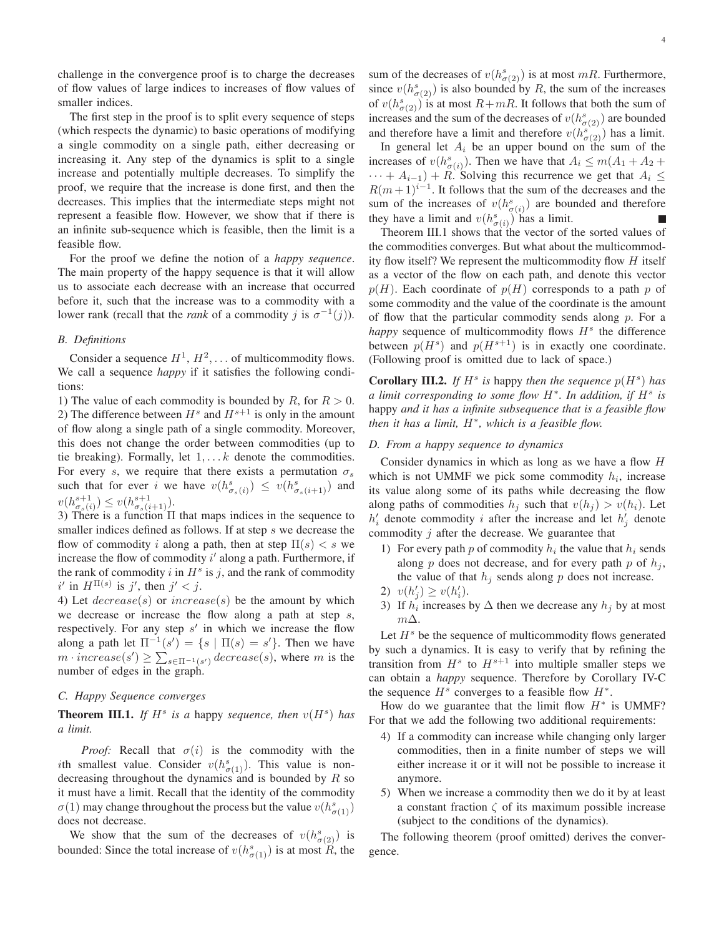challenge in the convergence proof is to charge the decreases of flow values of large indices to increases of flow values of smaller indices.

The first step in the proof is to split every sequence of steps (which respects the dynamic) to basic operations of modifying a single commodity on a single path, either decreasing or increasing it. Any step of the dynamics is split to a single increase and potentially multiple decreases. To simplify the proof, we require that the increase is done first, and then the decreases. This implies that the intermediate steps might not represent a feasible flow. However, we show that if there is an infinite sub-sequence which is feasible, then the limit is a feasible flow.

For the proof we define the notion of a *happy sequence*. The main property of the happy sequence is that it will allow us to associate each decrease with an increase that occurred before it, such that the increase was to a commodity with a lower rank (recall that the *rank* of a commodity j is  $\sigma^{-1}(j)$ ).

#### *B. Definitions*

Consider a sequence  $H^1$ ,  $H^2$ , ... of multicommodity flows. We call a sequence *happy* if it satisfies the following conditions:

1) The value of each commodity is bounded by  $R$ , for  $R > 0$ . 2) The difference between  $H^s$  and  $H^{s+1}$  is only in the amount of flow along a single path of a single commodity. Moreover, this does not change the order between commodities (up to tie breaking). Formally, let  $1, \ldots, k$  denote the commodities. For every s, we require that there exists a permutation  $\sigma_s$ such that for ever i we have  $v(h_{\sigma_s(i)}^s) \leq v(h_{\sigma_s(i+1)}^s)$  and  $v(h_{\sigma_s(i)}^{s+1}) \leq v(h_{\sigma_s(i+1)}^{s+1}).$ 

3) There is a function Π that maps indices in the sequence to smaller indices defined as follows. If at step s we decrease the flow of commodity i along a path, then at step  $\Pi(s) < s$  we increase the flow of commodity  $i'$  along a path. Furthermore, if the rank of commodity i in  $H^s$  is j, and the rank of commodity i' in  $H^{\Pi(s)}$  is j', then  $j' < j$ .

4) Let  $decrease(s)$  or  $increase(s)$  be the amount by which we decrease or increase the flow along a path at step s, respectively. For any step  $s'$  in which we increase the flow along a path let  $\Pi^{-1}(s') = \{s \mid \Pi(s) = s'\}.$  Then we have  $m \cdot increase(s') \geq \sum_{s \in \Pi^{-1}(s')} decrease(s)$ , where m is the number of edges in the graph.

## *C. Happy Sequence converges*

**Theorem III.1.** If  $H^s$  is a happy sequence, then  $v(H^s)$  has *a limit.*

*Proof:* Recall that  $\sigma(i)$  is the commodity with the *i*th smallest value. Consider  $v(h_{\sigma(1)}^s)$ . This value is nondecreasing throughout the dynamics and is bounded by  $R$  so it must have a limit. Recall that the identity of the commodity  $\sigma(1)$  may change throughout the process but the value  $v(h_{\sigma(1)}^s)$ does not decrease.

We show that the sum of the decreases of  $v(h_{\sigma(2)}^s)$  is bounded: Since the total increase of  $v(h_{\sigma(1)}^s)$  is at most  $\hat{R}$ , the sum of the decreases of  $v(h_{\sigma(2)}^s)$  is at most mR. Furthermore, since  $v(h_{\sigma(2)}^s)$  is also bounded by R, the sum of the increases of  $v(h_{\sigma(2)}^s)$  is at most  $R+mR$ . It follows that both the sum of increases and the sum of the decreases of  $v(h_{\sigma(2)}^s)$  are bounded and therefore have a limit and therefore  $v(h_{\sigma(2)}^{s^{\sim}})$  has a limit.

In general let  $A_i$  be an upper bound on the sum of the increases of  $v(h_{\sigma(i)}^s)$ . Then we have that  $A_i \leq m(A_1 + A_2 + \cdots)$  $\cdots + A_{i-1}$ ) + R. Solving this recurrence we get that  $A_i \leq$  $R(m+1)^{i-1}$ . It follows that the sum of the decreases and the sum of the increases of  $v(h_{\sigma(i)}^s)$  are bounded and therefore they have a limit and  $v(h_{\sigma(i)}^s)$  has a limit.

Theorem III.1 shows that the vector of the sorted values of the commodities converges. But what about the multicommodity flow itself? We represent the multicommodity flow  $H$  itself as a vector of the flow on each path, and denote this vector  $p(H)$ . Each coordinate of  $p(H)$  corresponds to a path p of some commodity and the value of the coordinate is the amount of flow that the particular commodity sends along  $p$ . For a happy sequence of multicommodity flows  $H<sup>s</sup>$  the difference between  $p(H<sup>s</sup>)$  and  $p(H<sup>s+1</sup>)$  is in exactly one coordinate. (Following proof is omitted due to lack of space.)

**Corollary III.2.** *If*  $H^s$  *is* happy *then the sequence*  $p(H^s)$  *has a limit corresponding to some flow H<sup>\*</sup>. In addition, if* H<sup>s</sup> is happy *and it has a infinite subsequence that is a feasible flow then it has a limit,* H<sup>∗</sup> *, which is a feasible flow.*

#### *D. From a happy sequence to dynamics*

Consider dynamics in which as long as we have a flow  $H$ which is not UMMF we pick some commodity  $h_i$ , increase its value along some of its paths while decreasing the flow along paths of commodities  $h_j$  such that  $v(h_j) > v(h_i)$ . Let  $h'_i$  denote commodity i after the increase and let  $h'_j$  denote commodity  $j$  after the decrease. We guarantee that

- 1) For every path  $p$  of commodity  $h_i$  the value that  $h_i$  sends along p does not decrease, and for every path p of  $h_i$ , the value of that  $h_j$  sends along  $p$  does not increase.
- 2)  $v(h'_j) \ge v(h'_i)$ .
- 3) If  $h_i$  increases by  $\Delta$  then we decrease any  $h_j$  by at most  $m\Delta$ .

Let  $H<sup>s</sup>$  be the sequence of multicommodity flows generated by such a dynamics. It is easy to verify that by refining the transition from  $H^s$  to  $H^{s+1}$  into multiple smaller steps we can obtain a *happy* sequence. Therefore by Corollary IV-C the sequence  $H^s$  converges to a feasible flow  $H^*$ .

How do we guarantee that the limit flow  $H^*$  is UMMF? For that we add the following two additional requirements:

- 4) If a commodity can increase while changing only larger commodities, then in a finite number of steps we will either increase it or it will not be possible to increase it anymore.
- 5) When we increase a commodity then we do it by at least a constant fraction  $\zeta$  of its maximum possible increase (subject to the conditions of the dynamics).

The following theorem (proof omitted) derives the convergence.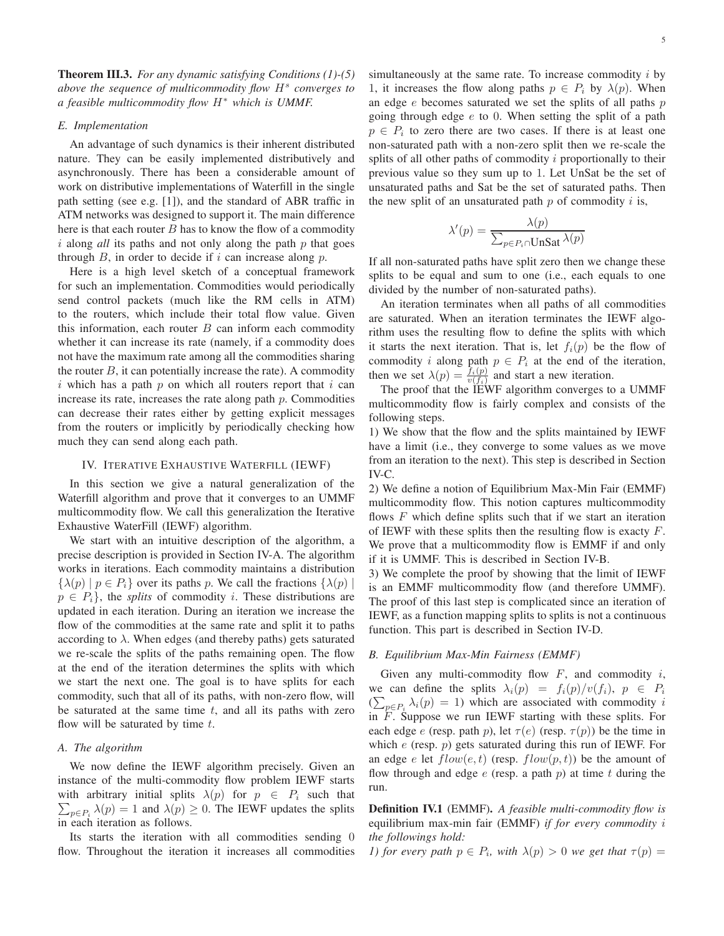**Theorem III.3.** *For any dynamic satisfying Conditions (1)-(5)* above the sequence of multicommodity flow  $H^s$  converges to *a feasible multicommodity flow* H<sup>∗</sup> *which is UMMF.*

#### *E. Implementation*

An advantage of such dynamics is their inherent distributed nature. They can be easily implemented distributively and asynchronously. There has been a considerable amount of work on distributive implementations of Waterfill in the single path setting (see e.g. [1]), and the standard of ABR traffic in ATM networks was designed to support it. The main difference here is that each router  $B$  has to know the flow of a commodity i along *all* its paths and not only along the path p that goes through  $B$ , in order to decide if i can increase along  $p$ .

Here is a high level sketch of a conceptual framework for such an implementation. Commodities would periodically send control packets (much like the RM cells in ATM) to the routers, which include their total flow value. Given this information, each router  $B$  can inform each commodity whether it can increase its rate (namely, if a commodity does not have the maximum rate among all the commodities sharing the router  $B$ , it can potentially increase the rate). A commodity  $i$  which has a path  $p$  on which all routers report that  $i$  can increase its rate, increases the rate along path  $p$ . Commodities can decrease their rates either by getting explicit messages from the routers or implicitly by periodically checking how much they can send along each path.

#### IV. ITERATIVE EXHAUSTIVE WATERFILL (IEWF)

In this section we give a natural generalization of the Waterfill algorithm and prove that it converges to an UMMF multicommodity flow. We call this generalization the Iterative Exhaustive WaterFill (IEWF) algorithm.

We start with an intuitive description of the algorithm, a precise description is provided in Section IV-A. The algorithm works in iterations. Each commodity maintains a distribution  $\{\lambda(p) \mid p \in P_i\}$  over its paths p. We call the fractions  $\{\lambda(p) \mid p \in P_i\}$  $p \in P_i$ , the *splits* of commodity *i*. These distributions are updated in each iteration. During an iteration we increase the flow of the commodities at the same rate and split it to paths according to  $\lambda$ . When edges (and thereby paths) gets saturated we re-scale the splits of the paths remaining open. The flow at the end of the iteration determines the splits with which we start the next one. The goal is to have splits for each commodity, such that all of its paths, with non-zero flow, will be saturated at the same time  $t$ , and all its paths with zero flow will be saturated by time  $t$ .

#### *A. The algorithm*

We now define the IEWF algorithm precisely. Given an instance of the multi-commodity flow problem IEWF starts with arbitrary initial splits  $\lambda(p)$  for  $p \in P_i$  such that  $\sum_{p \in P_i} \lambda(p) = 1$  and  $\lambda(p) \ge 0$ . The IEWF updates the splits in each iteration as follows.

Its starts the iteration with all commodities sending 0 flow. Throughout the iteration it increases all commodities simultaneously at the same rate. To increase commodity i by 1, it increases the flow along paths  $p \in P_i$  by  $\lambda(p)$ . When an edge  $e$  becomes saturated we set the splits of all paths  $p$ going through edge  $e$  to 0. When setting the split of a path  $p \in P_i$  to zero there are two cases. If there is at least one non-saturated path with a non-zero split then we re-scale the splits of all other paths of commodity  $i$  proportionally to their previous value so they sum up to 1. Let UnSat be the set of unsaturated paths and Sat be the set of saturated paths. Then the new split of an unsaturated path  $p$  of commodity  $i$  is,

$$
\lambda'(p) = \frac{\lambda(p)}{\sum_{p \in P_i \cap \text{UnSat}} \lambda(p)}
$$

If all non-saturated paths have split zero then we change these splits to be equal and sum to one (i.e., each equals to one divided by the number of non-saturated paths).

An iteration terminates when all paths of all commodities are saturated. When an iteration terminates the IEWF algorithm uses the resulting flow to define the splits with which it starts the next iteration. That is, let  $f_i(p)$  be the flow of commodity i along path  $p \in P_i$  at the end of the iteration, then we set  $\lambda(p) = \frac{f_i(p)}{v(f_i)}$  and start a new iteration.

The proof that the IEWF algorithm converges to a UMMF multicommodity flow is fairly complex and consists of the following steps.

1) We show that the flow and the splits maintained by IEWF have a limit (i.e., they converge to some values as we move from an iteration to the next). This step is described in Section IV-C.

2) We define a notion of Equilibrium Max-Min Fair (EMMF) multicommodity flow. This notion captures multicommodity flows  $F$  which define splits such that if we start an iteration of IEWF with these splits then the resulting flow is exacty  $F$ . We prove that a multicommodity flow is EMMF if and only if it is UMMF. This is described in Section IV-B.

3) We complete the proof by showing that the limit of IEWF is an EMMF multicommodity flow (and therefore UMMF). The proof of this last step is complicated since an iteration of IEWF, as a function mapping splits to splits is not a continuous function. This part is described in Section IV-D.

## *B. Equilibrium Max-Min Fairness (EMMF)*

Given any multi-commodity flow  $F$ , and commodity  $i$ , we can define the splits  $\lambda_i(p) = f_i(p)/v(f_i)$ ,  $p \in P_i$  $(\sum_{p \in P_i} \lambda_i(p) = 1)$  which are associated with commodity i in  $\overline{F}$ . Suppose we run IEWF starting with these splits. For each edge e (resp. path p), let  $\tau(e)$  (resp.  $\tau(p)$ ) be the time in which  $e$  (resp.  $p$ ) gets saturated during this run of IEWF. For an edge e let  $flow(e, t)$  (resp.  $flow(p, t)$ ) be the amount of flow through and edge  $e$  (resp. a path  $p$ ) at time  $t$  during the run.

**Definition IV.1** (EMMF)**.** *A feasible multi-commodity flow is* equilibrium max-min fair (EMMF) *if for every commodity* i *the followings hold:*

*1)* for every path  $p \in P_i$ , with  $\lambda(p) > 0$  we get that  $\tau(p) =$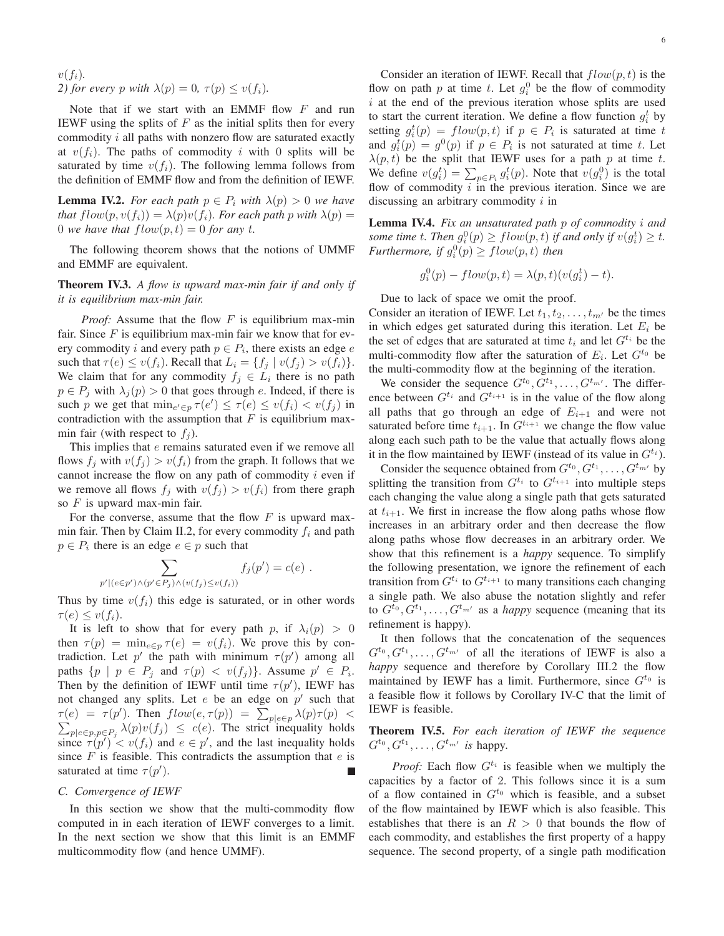$v(f_i)$ . *2) for every p with*  $\lambda(p) = 0$ ,  $\tau(p) \le v(f_i)$ .

Note that if we start with an EMMF flow  $F$  and run IEWF using the splits of  $F$  as the initial splits then for every commodity i all paths with nonzero flow are saturated exactly at  $v(f_i)$ . The paths of commodity i with 0 splits will be saturated by time  $v(f_i)$ . The following lemma follows from the definition of EMMF flow and from the definition of IEWF.

**Lemma IV.2.** *For each path*  $p \in P_i$  *with*  $\lambda(p) > 0$  *we have that*  $flow(p, v(f_i)) = \lambda(p)v(f_i)$ *. For each path p with*  $\lambda(p)$  = 0 *we have that*  $flow(p, t) = 0$  *for any t*.

The following theorem shows that the notions of UMMF and EMMF are equivalent.

**Theorem IV.3.** *A flow is upward max-min fair if and only if it is equilibrium max-min fair.*

*Proof:* Assume that the flow F is equilibrium max-min fair. Since  $F$  is equilibrium max-min fair we know that for every commodity i and every path  $p \in P_i$ , there exists an edge e such that  $\tau(e) \le v(f_i)$ . Recall that  $L_i = \{f_j \mid v(f_j) > v(f_i)\}.$ We claim that for any commodity  $f_j \in L_i$  there is no path  $p \in P_i$  with  $\lambda_i(p) > 0$  that goes through e. Indeed, if there is such p we get that  $\min_{e' \in p} \tau(e') \leq \tau(e) \leq v(f_i) < v(f_j)$  in contradiction with the assumption that  $F$  is equilibrium maxmin fair (with respect to  $f_i$ ).

This implies that  $e$  remains saturated even if we remove all flows  $f_i$  with  $v(f_i) > v(f_i)$  from the graph. It follows that we cannot increase the flow on any path of commodity  $i$  even if we remove all flows  $f_j$  with  $v(f_j) > v(f_i)$  from there graph so  $F$  is upward max-min fair.

For the converse, assume that the flow  $F$  is upward maxmin fair. Then by Claim II.2, for every commodity  $f_i$  and path  $p \in P_i$  there is an edge  $e \in p$  such that

$$
\sum_{p' | (e \in p') \land (p' \in P_j) \land (v(f_j) \le v(f_i))} f_j(p') = c(e) .
$$

Thus by time  $v(f_i)$  this edge is saturated, or in other words  $\tau(e) \leq v(f_i)$ .

It is left to show that for every path p, if  $\lambda_i(p) > 0$ then  $\tau(p) = \min_{e \in p} \tau(e) = v(f_i)$ . We prove this by contradiction. Let p' the path with minimum  $\tau(p')$  among all paths  $\{p \mid p \in P_j \text{ and } \tau(p) < v(f_j)\}\)$ . Assume  $p' \in P_i$ . Then by the definition of IEWF until time  $\tau(p')$ , IEWF has not changed any splits. Let  $e$  be an edge on  $p'$  such that  $\tau(e) = \tau(p')$ . Then  $flow(e, \tau(p)) = \sum_{p \mid e \in p} \lambda(p) \tau(p)$  $\sum_{p|e\in p, p\in P_j} \lambda(p)v(f_j) \leq c(e)$ . The strict inequality holds since  $\tau(p^r) < v(f_i)$  and  $e \in p'$ , and the last inequality holds since  $F$  is feasible. This contradicts the assumption that  $e$  is saturated at time  $\tau(p')$ .

## *C. Convergence of IEWF*

In this section we show that the multi-commodity flow computed in in each iteration of IEWF converges to a limit. In the next section we show that this limit is an EMMF multicommodity flow (and hence UMMF).

Consider an iteration of IEWF. Recall that  $flow(p, t)$  is the flow on path p at time t. Let  $g_i^0$  be the flow of commodity  $i$  at the end of the previous iteration whose splits are used to start the current iteration. We define a flow function  $g_i^t$  by setting  $g_i^t(p) = flow(p, t)$  if  $p \in P_i$  is saturated at time t and  $g_i^t(p) = g^0(p)$  if  $p \in P_i$  is not saturated at time t. Let  $\lambda(p, t)$  be the split that IEWF uses for a path p at time t. We define  $v(g_i^t) = \sum_{p \in P_i} g_i^t(p)$ . Note that  $v(g_i^0)$  is the total flow of commodity  $i$  in the previous iteration. Since we are discussing an arbitrary commodity  $i$  in

**Lemma IV.4.** *Fix an unsaturated path* p *of commodity* i *and* some time t. Then  $g_i^0(p) \geq flow(p, t)$  if and only if  $v(g_i^t) \geq t$ . *Furthermore, if*  $g_i^0(p) \geq flow(p, t)$  *then* 

$$
g_i^0(p) - flow(p, t) = \lambda(p, t)(v(g_i^t) - t).
$$

Due to lack of space we omit the proof.

Consider an iteration of IEWF. Let  $t_1, t_2, \ldots, t_{m'}$  be the times in which edges get saturated during this iteration. Let  $E_i$  be the set of edges that are saturated at time  $t_i$  and let  $G^{t_i}$  be the multi-commodity flow after the saturation of  $E_i$ . Let  $G^{t_0}$  be the multi-commodity flow at the beginning of the iteration.

We consider the sequence  $G^{t_0}, G^{t_1}, \ldots, G^{t_{m'}}$ . The difference between  $G^{t_i}$  and  $G^{t_{i+1}}$  is in the value of the flow along all paths that go through an edge of  $E_{i+1}$  and were not saturated before time  $t_{i+1}$ . In  $G^{t_{i+1}}$  we change the flow value along each such path to be the value that actually flows along it in the flow maintained by IEWF (instead of its value in  $G^{t_i}$ ).

Consider the sequence obtained from  $G^{t_0}, G^{t_1}, \ldots, G^{t_{m'}}$  by splitting the transition from  $G^{t_i}$  to  $G^{t_{i+1}}$  into multiple steps each changing the value along a single path that gets saturated at  $t_{i+1}$ . We first in increase the flow along paths whose flow increases in an arbitrary order and then decrease the flow along paths whose flow decreases in an arbitrary order. We show that this refinement is a *happy* sequence. To simplify the following presentation, we ignore the refinement of each transition from  $G^{t_i}$  to  $G^{t_{i+1}}$  to many transitions each changing a single path. We also abuse the notation slightly and refer to  $G^{t_0}, G^{t_1}, \ldots, G^{t_{m'}}$  as a *happy* sequence (meaning that its refinement is happy).

It then follows that the concatenation of the sequences  $G^{t_0}, G^{t_1}, \ldots, G^{t_{m'}}$  of all the iterations of IEWF is also a *happy* sequence and therefore by Corollary III.2 the flow maintained by IEWF has a limit. Furthermore, since  $G^{t_0}$  is a feasible flow it follows by Corollary IV-C that the limit of IEWF is feasible.

**Theorem IV.5.** *For each iteration of IEWF the sequence*  $G^{t_0}, G^{t_1}, \ldots, G^{t_{m'}}$  *is happy.* 

*Proof:* Each flow  $G^{t_i}$  is feasible when we multiply the capacities by a factor of 2. This follows since it is a sum of a flow contained in  $G^{t_0}$  which is feasible, and a subset of the flow maintained by IEWF which is also feasible. This establishes that there is an  $R > 0$  that bounds the flow of each commodity, and establishes the first property of a happy sequence. The second property, of a single path modification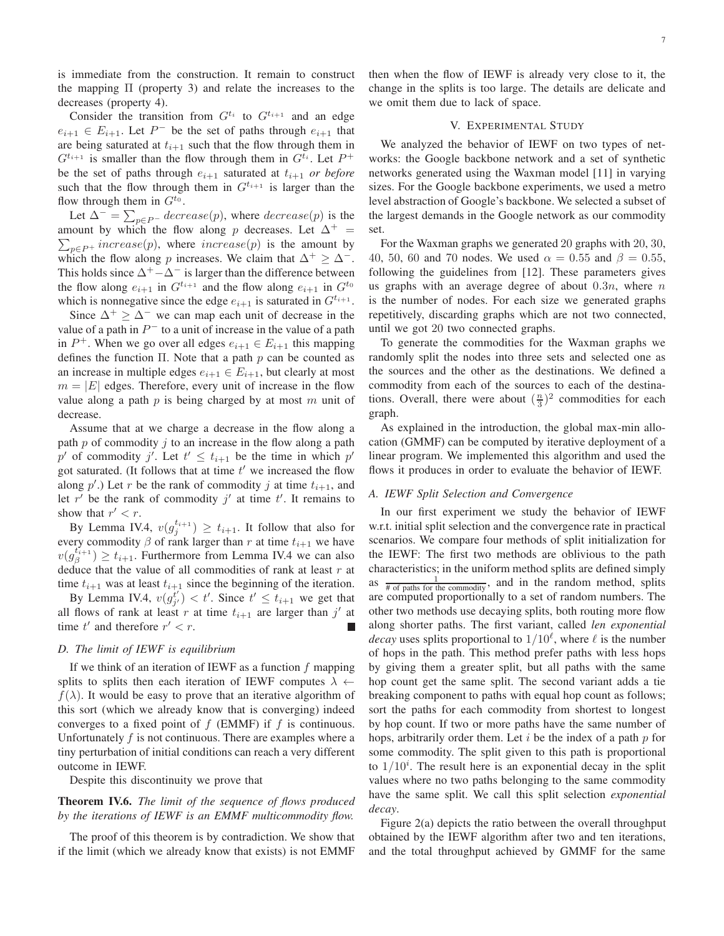is immediate from the construction. It remain to construct the mapping Π (property 3) and relate the increases to the decreases (property 4).

Consider the transition from  $G^{t_i}$  to  $G^{t_{i+1}}$  and an edge  $e_{i+1} \in E_{i+1}$ . Let  $P^-$  be the set of paths through  $e_{i+1}$  that are being saturated at  $t_{i+1}$  such that the flow through them in  $G^{t_{i+1}}$  is smaller than the flow through them in  $G^{t_i}$ . Let  $P^+$ be the set of paths through  $e_{i+1}$  saturated at  $t_{i+1}$  *or before* such that the flow through them in  $G^{t_{i+1}}$  is larger than the flow through them in  $G^{t_0}$ .

Let  $\Delta^{-} = \sum_{p \in P^{-}} \text{decrease}(p)$ , where  $\text{decrease}(p)$  is the amount by which the flow along p decreases. Let  $\Delta^+$  =  $\sum_{p \in P^+} increase(p)$ , where  $increase(p)$  is the amount by which the flow along p increases. We claim that  $\Delta^+ \geq \Delta^-$ . This holds since  $\Delta^+$ − $\Delta^-$  is larger than the difference between the flow along  $e_{i+1}$  in  $G^{t_{i+1}}$  and the flow along  $e_{i+1}$  in  $G^{t_0}$ which is nonnegative since the edge  $e_{i+1}$  is saturated in  $G^{t_{i+1}}$ .

Since  $\Delta^+ \geq \Delta^-$  we can map each unit of decrease in the value of a path in  $P^-$  to a unit of increase in the value of a path in  $P^+$ . When we go over all edges  $e_{i+1} \in E_{i+1}$  this mapping defines the function  $\Pi$ . Note that a path p can be counted as an increase in multiple edges  $e_{i+1} \in E_{i+1}$ , but clearly at most  $m = |E|$  edges. Therefore, every unit of increase in the flow value along a path  $p$  is being charged by at most  $m$  unit of decrease.

Assume that at we charge a decrease in the flow along a path  $p$  of commodity  $j$  to an increase in the flow along a path p' of commodity j'. Let  $t' \leq t_{i+1}$  be the time in which p' got saturated. (It follows that at time  $t'$  we increased the flow along  $p'$ .) Let r be the rank of commodity j at time  $t_{i+1}$ , and let  $r'$  be the rank of commodity  $j'$  at time  $t'$ . It remains to show that  $r' < r$ .

By Lemma IV.4,  $v(g_j^{t_{i+1}}) \ge t_{i+1}$ . It follow that also for every commodity  $\beta$  of rank larger than r at time  $t_{i+1}$  we have  $v(g_{\beta}^{t_{i+1}}) \ge t_{i+1}$ . Furthermore from Lemma IV.4 we can also deduce that the value of all commodities of rank at least  $r$  at time  $t_{i+1}$  was at least  $t_{i+1}$  since the beginning of the iteration.

By Lemma IV.4,  $v(g_{i'}^{t'})$  $j'_{j'}$   $< t'$ . Since  $t' \leq t_{i+1}$  we get that all flows of rank at least r at time  $t_{i+1}$  are larger than j' at time  $t'$  and therefore  $r' < r$ .

## *D. The limit of IEWF is equilibrium*

If we think of an iteration of IEWF as a function  $f$  mapping splits to splits then each iteration of IEWF computes  $\lambda \leftarrow$  $f(\lambda)$ . It would be easy to prove that an iterative algorithm of this sort (which we already know that is converging) indeed converges to a fixed point of  $f$  (EMMF) if  $f$  is continuous. Unfortunately  $f$  is not continuous. There are examples where a tiny perturbation of initial conditions can reach a very different outcome in IEWF.

Despite this discontinuity we prove that

# **Theorem IV.6.** *The limit of the sequence of flows produced by the iterations of IEWF is an EMMF multicommodity flow.*

The proof of this theorem is by contradiction. We show that if the limit (which we already know that exists) is not EMMF then when the flow of IEWF is already very close to it, the change in the splits is too large. The details are delicate and we omit them due to lack of space.

#### V. EXPERIMENTAL STUDY

We analyzed the behavior of IEWF on two types of networks: the Google backbone network and a set of synthetic networks generated using the Waxman model [11] in varying sizes. For the Google backbone experiments, we used a metro level abstraction of Google's backbone. We selected a subset of the largest demands in the Google network as our commodity set.

For the Waxman graphs we generated 20 graphs with 20, 30, 40, 50, 60 and 70 nodes. We used  $\alpha = 0.55$  and  $\beta = 0.55$ , following the guidelines from [12]. These parameters gives us graphs with an average degree of about  $0.3n$ , where n is the number of nodes. For each size we generated graphs repetitively, discarding graphs which are not two connected, until we got 20 two connected graphs.

To generate the commodities for the Waxman graphs we randomly split the nodes into three sets and selected one as the sources and the other as the destinations. We defined a commodity from each of the sources to each of the destinations. Overall, there were about  $(\frac{n}{3})^2$  commodities for each graph.

As explained in the introduction, the global max-min allocation (GMMF) can be computed by iterative deployment of a linear program. We implemented this algorithm and used the flows it produces in order to evaluate the behavior of IEWF.

## *A. IEWF Split Selection and Convergence*

In our first experiment we study the behavior of IEWF w.r.t. initial split selection and the convergence rate in practical scenarios. We compare four methods of split initialization for the IEWF: The first two methods are oblivious to the path characteristics; in the uniform method splits are defined simply as  $\frac{1}{\text{* of paths for the commodity}}$ , and in the random method, splits are computed proportionally to a set of random numbers. The other two methods use decaying splits, both routing more flow along shorter paths. The first variant, called *len exponential decay* uses splits proportional to  $1/10^{\ell}$ , where  $\ell$  is the number of hops in the path. This method prefer paths with less hops by giving them a greater split, but all paths with the same hop count get the same split. The second variant adds a tie breaking component to paths with equal hop count as follows; sort the paths for each commodity from shortest to longest by hop count. If two or more paths have the same number of hops, arbitrarily order them. Let  $i$  be the index of a path  $p$  for some commodity. The split given to this path is proportional to  $1/10^i$ . The result here is an exponential decay in the split values where no two paths belonging to the same commodity have the same split. We call this split selection *exponential decay*.

Figure 2(a) depicts the ratio between the overall throughput obtained by the IEWF algorithm after two and ten iterations, and the total throughput achieved by GMMF for the same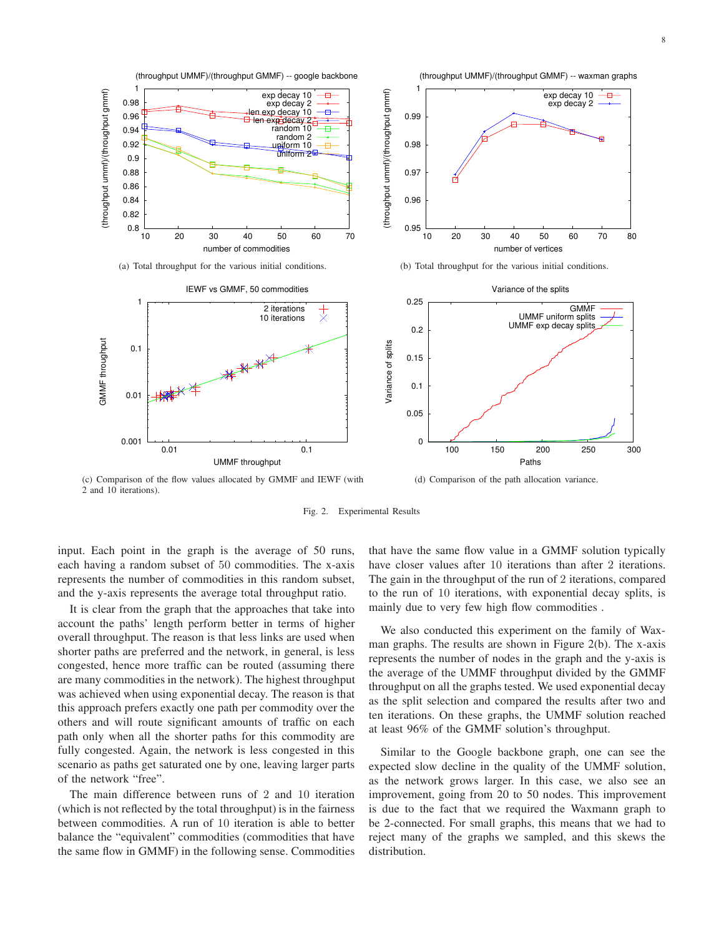

(c) Comparison of the flow values allocated by GMMF and IEWF (with 2 and 10 iterations).

Fig. 2. Experimental Results

input. Each point in the graph is the average of 50 runs, each having a random subset of 50 commodities. The x-axis represents the number of commodities in this random subset, and the y-axis represents the average total throughput ratio.

It is clear from the graph that the approaches that take into account the paths' length perform better in terms of higher overall throughput. The reason is that less links are used when shorter paths are preferred and the network, in general, is less congested, hence more traffic can be routed (assuming there are many commodities in the network). The highest throughput was achieved when using exponential decay. The reason is that this approach prefers exactly one path per commodity over the others and will route significant amounts of traffic on each path only when all the shorter paths for this commodity are fully congested. Again, the network is less congested in this scenario as paths get saturated one by one, leaving larger parts of the network "free".

The main difference between runs of 2 and 10 iteration (which is not reflected by the total throughput) is in the fairness between commodities. A run of 10 iteration is able to better balance the "equivalent" commodities (commodities that have the same flow in GMMF) in the following sense. Commodities

that have the same flow value in a GMMF solution typically have closer values after 10 iterations than after 2 iterations. The gain in the throughput of the run of 2 iterations, compared to the run of 10 iterations, with exponential decay splits, is mainly due to very few high flow commodities .

We also conducted this experiment on the family of Waxman graphs. The results are shown in Figure 2(b). The x-axis represents the number of nodes in the graph and the y-axis is the average of the UMMF throughput divided by the GMMF throughput on all the graphs tested. We used exponential decay as the split selection and compared the results after two and ten iterations. On these graphs, the UMMF solution reached at least 96% of the GMMF solution's throughput.

Similar to the Google backbone graph, one can see the expected slow decline in the quality of the UMMF solution, as the network grows larger. In this case, we also see an improvement, going from 20 to 50 nodes. This improvement is due to the fact that we required the Waxmann graph to be 2-connected. For small graphs, this means that we had to reject many of the graphs we sampled, and this skews the distribution.